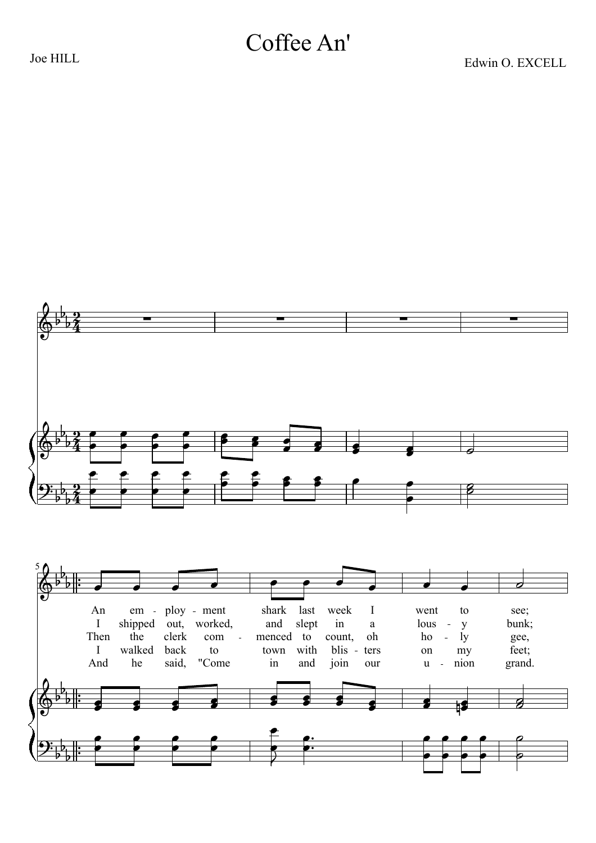## Coffee An'

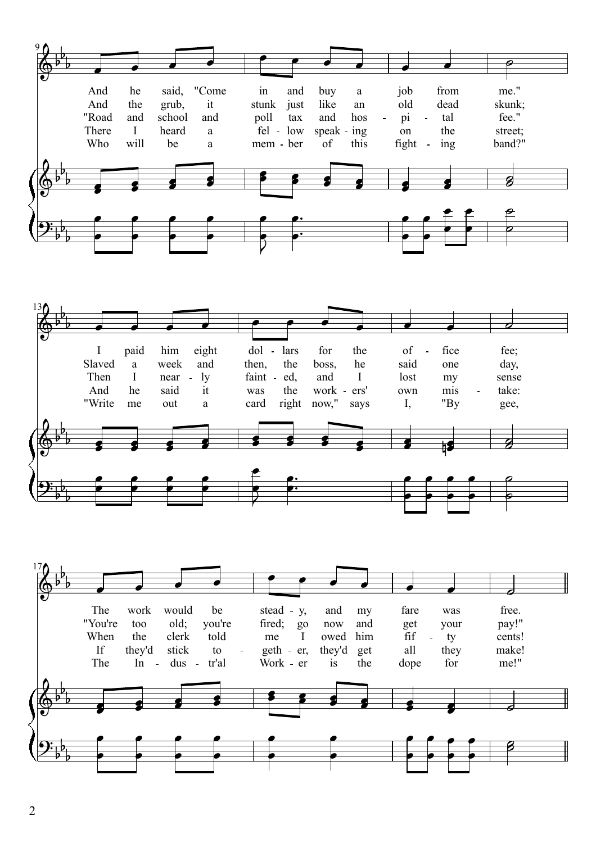